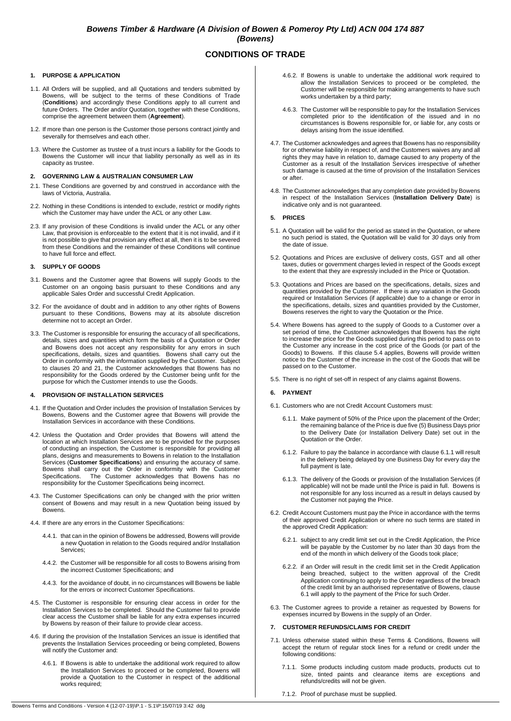## *Bowens Timber & Hardware (A Division of Bowen & Pomeroy Pty Ltd) ACN 004 174 887 (Bowens)*

# **CONDITIONS OF TRADE**

## **1. PURPOSE & APPLICATION**

- <span id="page-0-3"></span>1.1. All Orders will be supplied, and all Quotations and tenders submitted by Bowens, will be subject to the terms of these Conditions of Trade (**Conditions**) and accordingly these Conditions apply to all current and future Orders. The Order and/or Quotation, together with these Conditions, comprise the agreement between them (**Agreement**).
- 1.2. If more than one person is the Customer those persons contract jointly and severally for themselves and each other.
- 1.3. Where the Customer as trustee of a trust incurs a liability for the Goods to Bowens the Customer will incur that liability personally as well as in its capacity as trustee.

## **2. GOVERNING LAW & AUSTRALIAN CONSUMER LAW**

- 2.1. These Conditions are governed by and construed in accordance with the laws of Victoria, Australia.
- 2.2. Nothing in these Conditions is intended to exclude, restrict or modify rights which the Customer may have under the ACL or any other Law.
- 2.3. If any provision of these Conditions is invalid under the ACL or any other Law, that provision is enforceable to the extent that it is not invalid, and if it is not possible to give that provision any effect at all, then it is to be severed from these Conditions and the remainder of these Conditions will continue to have full force and effect.

## **3. SUPPLY OF GOODS**

- 3.1. Bowens and the Customer agree that Bowens will supply Goods to the Customer on an ongoing basis pursuant to these Conditions and any applicable Sales Order and successful Credit Application.
- 3.2. For the avoidance of doubt and in addition to any other rights of Bowens pursuant to these Conditions, Bowens may at its absolute discretion determine not to accept an Order.
- 3.3. The Customer is responsible for ensuring the accuracy of all specifications, details, sizes and quantities which form the basis of a Quotation or Order and Bowens does not accept any responsibility for any errors in such specifications, details, sizes and quantities. Bowens shall carry out the Order in conformity with the information supplied by the Customer. Subject to clauses [20](#page-2-0) and [21,](#page-2-1) the Customer acknowledges that Bowens has no responsibility for the Goods ordered by the Customer being unfit for the purpose for which the Customer intends to use the Goods.

## **4. PROVISION OF INSTALLATION SERVICES**

- 4.1. If the Quotation and Order includes the provision of Installation Services by Bowens, Bowens and the Customer agree that Bowens will provide the Installation Services in accordance with these Conditions.
- <span id="page-0-4"></span>4.2. Unless the Quotation and Order provides that Bowens will attend the location at which Installation Services are to be provided for the purposes of conducting an inspection, the Customer is responsible for providing all plans, designs and measurements to Bowens in relation to the Installation Services (**Customer Specifications**) and ensuring the accuracy of same. Bowens shall carry out the Order in conformity with the Customer Specifications. The Customer acknowledges that Bowens has no responsibility for the Customer Specifications being incorrect.
- 4.3. The Customer Specifications can only be changed with the prior written consent of Bowens and may result in a new Quotation being issued by Bowens.
- 4.4. If there are any errors in the Customer Specifications:
	- 4.4.1. that can in the opinion of Bowens be addressed, Bowens will provide a new Quotation in relation to the Goods required and/or Installation Services;
	- 4.4.2. the Customer will be responsible for all costs to Bowens arising from the incorrect Customer Specifications; and
	- 4.4.3. for the avoidance of doubt, in no circumstances will Bowens be liable for the errors or incorrect Customer Specifications.
- 4.5. The Customer is responsible for ensuring clear access in order for the Installation Services to be completed. Should the Customer fail to provide clear access the Customer shall be liable for any extra expenses incurred by Bowens by reason of their failure to provide clear access.
- 4.6. If during the provision of the Installation Services an issue is identified that prevents the Installation Services proceeding or being completed, Bowens will notify the Customer and:
	- 4.6.1. If Bowens is able to undertake the additional work required to allow the Installation Services to proceed or be completed, Bowens will provide a Quotation to the Customer in respect of the additional works required;
- 4.6.2. If Bowens is unable to undertake the additional work required to allow the Installation Services to proceed or be completed, the Customer will be responsible for making arrangements to have such works undertaken by a third party;
- 4.6.3. The Customer will be responsible to pay for the Installation Services completed prior to the identification of the issued and in no circumstances is Bowens responsible for, or liable for, any costs or delays arising from the issue identified.
- <span id="page-0-5"></span>4.7. The Customer acknowledges and agrees that Bowens has no responsibility for or otherwise liability in respect of, and the Customers waives any and all rights they may have in relation to, damage caused to any property of the Customer as a result of the Installation Services irrespective of whether such damage is caused at the time of provision of the Installation Services or after.
- 4.8. The Customer acknowledges that any completion date provided by Bowens in respect of the Installation Services (**Installation Delivery Date**) is indicative only and is not guaranteed.

## **5. PRICES**

- 5.1. A Quotation will be valid for the period as stated in the Quotation, or where no such period is stated, the Quotation will be valid for *30* days only from the date of issue.
- 5.2. Quotations and Prices are exclusive of delivery costs, GST and all other taxes, duties or government charges levied in respect of the Goods except to the extent that they are expressly included in the Price or Quotation.
- 5.3. Quotations and Prices are based on the specifications, details, sizes and quantities provided by the Customer. If there is any variation in the Goods required or Installation Services (if applicable) due to a change or error in the specifications, details, sizes and quantities provided by the Customer, Bowens reserves the right to vary the Quotation or the Price.
- <span id="page-0-0"></span>5.4. Where Bowens has agreed to the supply of Goods to a Customer over a set period of time, the Customer acknowledges that Bowens has the right to increase the price for the Goods supplied during this period to pass on to the Customer any increase in the cost price of the Goods (or part of the Goods) to Bowens. If this clause [5.4](#page-0-0) applies, Bowens will provide written notice to the Customer of the increase in the cost of the Goods that will be passed on to the Customer.
- 5.5. There is no right of set-off in respect of any claims against Bowens.

## **6. PAYMENT**

- <span id="page-0-2"></span><span id="page-0-1"></span>6.1. Customers who are not Credit Account Customers must:
	- 6.1.1. Make payment of 50% of the Price upon the placement of the Order; the remaining balance of the Price is due five (5) Business Days prior to the Delivery Date (or Installation Delivery Date) set out in the Quotation or the Order.
	- 6.1.2. Failure to pay the balance in accordance with clause [6.1.1](#page-0-1) will result in the delivery being delayed by one Business Day for every day the full payment is late.
	- 6.1.3. The delivery of the Goods or provision of the Installation Services (if applicable) will not be made until the Price is paid in full. Bowens is not responsible for any loss incurred as a result in delays caused by the Customer not paying the Price.
- 6.2. Credit Account Customers must pay the Price in accordance with the terms of their approved Credit Application or where no such terms are stated in the approved Credit Application:
	- 6.2.1. subject to any credit limit set out in the Credit Application, the Price will be payable by the Customer by no later than 30 days from the end of the month in which delivery of the Goods took place;
	- 6.2.2. if an Order will result in the credit limit set in the Credit Application being breached, subject to the written approval of the Credit Application continuing to apply to the Order regardless of the breach of the credit limit by an authorised representative of Bowens, clause [6.1](#page-0-2) will apply to the payment of the Price for such Order.
- 6.3. The Customer agrees to provide a retainer as requested by Bowens for expenses incurred by Bowens in the supply of an Order.

## **7. CUSTOMER REFUNDS/CLAIMS FOR CREDIT**

- 7.1. Unless otherwise stated within these Terms & Conditions, Bowens will accept the return of regular stock lines for a refund or credit under the following conditions:
	- 7.1.1. Some products including custom made products, products cut to size, tinted paints and clearance items are exceptions and refunds/credits will not be given.
	- 7.1.2. Proof of purchase must be supplied.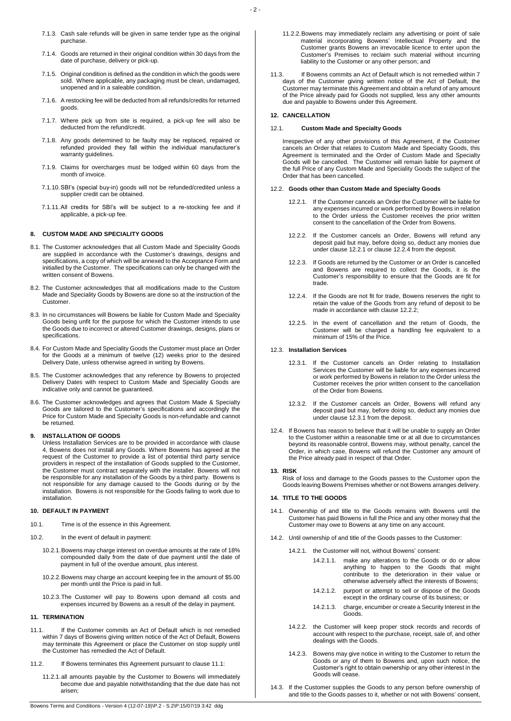- 7.1.3. Cash sale refunds will be given in same tender type as the original purchase.
- 7.1.4. Goods are returned in their original condition within 30 days from the date of purchase, delivery or pick-up.
- 7.1.5. Original condition is defined as the condition in which the goods were sold. Where applicable, any packaging must be clean, undamaged, unopened and in a saleable condition.
- 7.1.6. A restocking fee will be deducted from all refunds/credits for returned goods.
- 7.1.7. Where pick up from site is required, a pick-up fee will also be deducted from the refund/credit.
- 7.1.8. Any goods determined to be faulty may be replaced, repaired or refunded provided they fall within the individual manufacturer's warranty guidelines.
- 7.1.9. Claims for overcharges must be lodged within 60 days from the month of invoice.
- 7.1.10.SBI's (special buy-in) goods will not be refunded/credited unless a supplier credit can be obtained.
- 7.1.11.All credits for SBI's will be subject to a re-stocking fee and if applicable, a pick-up fee.

## **8. CUSTOM MADE AND SPECIALITY GOODS**

- 8.1. The Customer acknowledges that all Custom Made and Speciality Goods are supplied in accordance with the Customer's drawings, designs and specifications, a copy of which will be annexed to the Acceptance Form and initialled by the Customer. The specifications can only be changed with the written consent of Bowens.
- 8.2. The Customer acknowledges that all modifications made to the Custom Made and Speciality Goods by Bowens are done so at the instruction of the Customer.
- 8.3. In no circumstances will Bowens be liable for Custom Made and Speciality Goods being unfit for the purpose for which the Customer intends to use the Goods due to incorrect or altered Customer drawings, designs, plans or specifications.
- 8.4. For Custom Made and Speciality Goods the Customer must place an Order for the Goods at a minimum of twelve (12) weeks prior to the desired Delivery Date, unless otherwise agreed in writing by Bowens.
- 8.5. The Customer acknowledges that any reference by Bowens to projected Delivery Dates with respect to Custom Made and Speciality Goods are indicative only and cannot be guaranteed.
- 8.6. The Customer acknowledges and agrees that Custom Made & Specialty Goods are tailored to the Customer's specifications and accordingly the Price for Custom Made and Specialty Goods is non-refundable and cannot be returned.

## **9. INSTALLATION OF GOODS**

Unless Installation Services are to be provided in accordance with clause 4, Bowens does not install any Goods. Where Bowens has agreed at the request of the Customer to provide a list of potential third party service providers in respect of the installation of Goods supplied to the Customer, the Customer must contract separately with the installer. Bowens will not be responsible for any installation of the Goods by a third party. Bowens is not responsible for any damage caused to the Goods during or by the installation. Bowens is not responsible for the Goods failing to work due to installation.

## **10. DEFAULT IN PAYMENT**

- 10.1. Time is of the essence in this Agreement.
- 10.2. In the event of default in payment:
	- 10.2.1.Bowens may charge interest on overdue amounts at the rate of 18% compounded daily from the date of due payment until the date of payment in full of the overdue amount, plus interest.
	- 10.2.2.Bowens may charge an account keeping fee in the amount of \$5.00 per month until the Price is paid in full.
	- 10.2.3.The Customer will pay to Bowens upon demand all costs and expenses incurred by Bowens as a result of the delay in payment.

#### **11. TERMINATION**

- <span id="page-1-0"></span>11.1. If the Customer commits an Act of Default which is not remedied within 7 days of Bowens giving written notice of the Act of Default, Bowens may terminate this Agreement or place the Customer on stop supply until the Customer has remedied the Act of Default.
- 11.2. If Bowens terminates this Agreement pursuant to clause [11.1:](#page-1-0)
	- 11.2.1.all amounts payable by the Customer to Bowens will immediately become due and payable notwithstanding that the due date has not arisen;
- 11.2.2.Bowens may immediately reclaim any advertising or point of sale material incorporating Bowens' Intellectual Property and the Customer grants Bowens an irrevocable licence to enter upon the Customer's Premises to reclaim such material without incurring liability to the Customer or any other person; and
- 11.3. If Bowens commits an Act of Default which is not remedied within 7 days of the Customer giving written notice of the Act of Default, the Customer may terminate this Agreement and obtain a refund of any amount of the Price already paid for Goods not supplied, less any other amounts due and payable to Bowens under this Agreement.

#### **12. CANCELLATION**

#### 12.1. **Custom Made and Specialty Goods**

Irrespective of any other provisions of this Agreement, if the Customer cancels an Order that relates to Custom Made and Specialty Goods, this Agreement is terminated and the Order of Custom Made and Specialty Goods will be cancelled. The Customer will remain liable for payment of the full Price of any Custom Made and Speciality Goods the subject of the Order that has been cancelled.

#### <span id="page-1-1"></span>12.2. **Goods other than Custom Made and Specialty Goods**

- 12.2.1. If the Customer cancels an Order the Customer will be liable for any expenses incurred or work performed by Bowens in relation to the Order unless the Customer receives the prior written consent to the cancellation of the Order from Bowens.
- <span id="page-1-3"></span>12.2.2. If the Customer cancels an Order, Bowens will refund any deposit paid but may, before doing so, deduct any monies due under claus[e 12.2.1](#page-1-1) or clause [12.2.4](#page-1-2) from the deposit.
- 12.2.3. If Goods are returned by the Customer or an Order is cancelled and Bowens are required to collect the Goods, it is the Customer's responsibility to ensure that the Goods are fit for trade.
- <span id="page-1-2"></span>12.2.4. If the Goods are not fit for trade, Bowens reserves the right to retain the value of the Goods from any refund of deposit to be made in accordance with claus[e 12.2.2;](#page-1-3)
- 12.2.5. In the event of cancellation and the return of Goods, the Customer will be charged a handling fee equivalent to a minimum of 15% of the Price.

## <span id="page-1-4"></span>12.3. **Installation Services**

- 12.3.1. If the Customer cancels an Order relating to Installation Services the Customer will be liable for any expenses incurred or work performed by Bowens in relation to the Order unless the Customer receives the prior written consent to the cancellation of the Order from Bowens.
- 12.3.2. If the Customer cancels an Order, Bowens will refund any deposit paid but may, before doing so, deduct any monies due under claus[e 12.3.1](#page-1-4) from the deposit.
- 12.4. If Bowens has reason to believe that it will be unable to supply an Order to the Customer within a reasonable time or at all due to circumstances beyond its reasonable control, Bowens may, without penalty, cancel the Order, in which case, Bowens will refund the Customer any amount of the Price already paid in respect of that Order.

#### **13. RISK**

Risk of loss and damage to the Goods passes to the Customer upon the Goods leaving Bowens Premises whether or not Bowens arranges delivery.

#### **14. TITLE TO THE GOODS**

- 14.1. Ownership of and title to the Goods remains with Bowens until the Customer has paid Bowens in full the Price and any other money that the Customer may owe to Bowens at any time on any account.
- <span id="page-1-5"></span>14.2. Until ownership of and title of the Goods passes to the Customer:
	- 14.2.1. the Customer will not, without Bowens' consent:
		- 14.2.1.1. make any alterations to the Goods or do or allow anything to happen to the Goods that might contribute to the deterioration in their value or otherwise adversely affect the interests of Bowens;
		- 14.2.1.2. purport or attempt to sell or dispose of the Goods except in the ordinary course of its business; or
		- 14.2.1.3. charge, encumber or create a Security Interest in the Goods.
	- 14.2.2. the Customer will keep proper stock records and records of account with respect to the purchase, receipt, sale of, and other dealings with the Goods.
	- 14.2.3. Bowens may give notice in writing to the Customer to return the Goods or any of them to Bowens and, upon such notice, the Customer's right to obtain ownership or any other interest in the Goods will cease.
- 14.3. If the Customer supplies the Goods to any person before ownership of and title to the Goods passes to it, whether or not with Bowens' consent,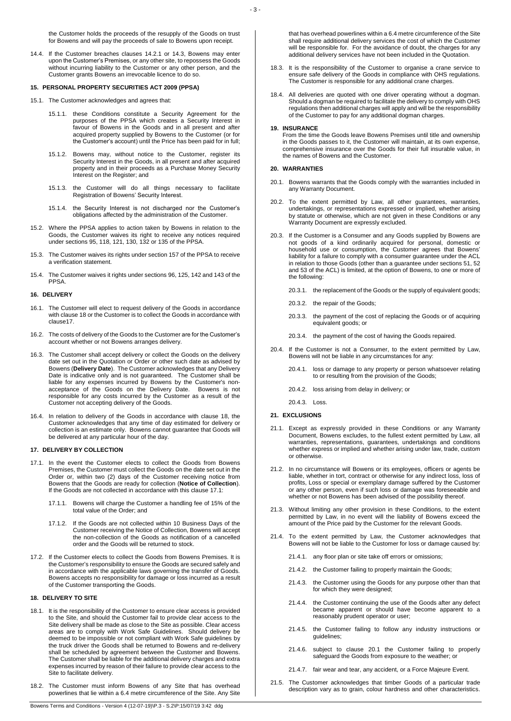<span id="page-2-2"></span>the Customer holds the proceeds of the resupply of the Goods on trust for Bowens and will pay the proceeds of sale to Bowens upon receipt.

14.4. If the Customer breaches clauses [14.2.1](#page-1-5) or [14.3,](#page-2-2) Bowens may enter upon the Customer's Premises, or any other site, to repossess the Goods without incurring liability to the Customer or any other person, and the Customer grants Bowens an irrevocable licence to do so.

## **15. PERSONAL PROPERTY SECURITIES ACT 2009 (PPSA)**

15.1. The Customer acknowledges and agrees that:

- 15.1.1. these Conditions constitute a Security Agreement for the purposes of the PPSA which creates a Security Interest in favour of Bowens in the Goods and in all present and after acquired property supplied by Bowens to the Customer (or for the Customer's account) until the Price has been paid for in full;
- 15.1.2. Bowens may, without notice to the Customer, register its Security Interest in the Goods, in all present and after acquired property and in their proceeds as a Purchase Money Security Interest on the Register; and
- 15.1.3. the Customer will do all things necessary to facilitate Registration of Bowens' Security Interest.
- 15.1.4. the Security Interest is not discharged nor the Customer's obligations affected by the administration of the Customer.
- 15.2. Where the PPSA applies to action taken by Bowens in relation to the Goods, the Customer waives its right to receive any notices required under sections 95, 118, 121, 130, 132 or 135 of the PPSA.
- 15.3. The Customer waives its rights under section 157 of the PPSA to receive a verification statement.
- 15.4. The Customer waives it rights under sections 96, 125, 142 and 143 of the PPSA.

## **16. DELIVERY**

- 16.1. The Customer will elect to request delivery of the Goods in accordance with claus[e 18](#page-2-3) or the Customer is to collect the Goods in accordance with claus[e17.](#page-2-4)
- 16.2. The costs of delivery of the Goods to the Customer are for the Customer's account whether or not Bowens arranges delivery.
- 16.3. The Customer shall accept delivery or collect the Goods on the delivery date set out in the Quotation or Order or other such date as advised by Bowens (**Delivery Date**). The Customer acknowledges that any Delivery Date is indicative only and is not guaranteed. The Customer shall be liable for any expenses incurred by Bowens by the Customer's nonacceptance of the Goods on the Delivery Date. Bowens is not responsible for any costs incurred by the Customer as a result of the Customer not accepting delivery of the Goods.
- 16.4. In relation to delivery of the Goods in accordance with clause [18,](#page-2-3) the Customer acknowledges that any time of day estimated for delivery or collection is an estimate only. Bowens cannot guarantee that Goods will be delivered at any particular hour of the day.

## <span id="page-2-4"></span>**17. DELIVERY BY COLLECTION**

- <span id="page-2-5"></span>17.1. In the event the Customer elects to collect the Goods from Bowens Premises, the Customer must collect the Goods on the date set out in the Order or, within two (2) days of the Customer receiving notice from Bowens that the Goods are ready for collection (**Notice of Collection**). If the Goods are not collected in accordance with this clause [17.1:](#page-2-5)
	- 17.1.1. Bowens will charge the Customer a handling fee of 15% of the total value of the Order; and
	- 17.1.2. If the Goods are not collected within 10 Business Days of the Customer receiving the Notice of Collection, Bowens will accept the non-collection of the Goods as notification of a cancelled order and the Goods will be returned to stock.
- 17.2. If the Customer elects to collect the Goods from Bowens Premises. It is the Customer's responsibility to ensure the Goods are secured safely and in accordance with the applicable laws governing the transfer of Goods. Bowens accepts no responsibility for damage or loss incurred as a result of the Customer transporting the Goods.

#### <span id="page-2-3"></span>**18. DELIVERY TO SITE**

- 18.1. It is the responsibility of the Customer to ensure clear access is provided to the Site, and should the Customer fail to provide clear access to the Site delivery shall be made as close to the Site as possible. Clear access areas are to comply with Work Safe Guidelines. Should delivery be deemed to be impossible or not compliant with Work Safe guidelines by the truck driver the Goods shall be returned to Bowens and re-delivery shall be scheduled by agreement between the Customer and Bowens. The Customer shall be liable for the additional delivery charges and extra expenses incurred by reason of their failure to provide clear access to the Site to facilitate delivery.
- 18.2. The Customer must inform Bowens of any Site that has overhead powerlines that lie within a 6.4 metre circumference of the Site. Any Site

that has overhead powerlines within a 6.4 metre circumference of the Site shall require additional delivery services the cost of which the Customer will be responsible for. For the avoidance of doubt, the charges for any additional delivery services have not been included in the Quotation.

- 18.3. It is the responsibility of the Customer to organise a crane service to ensure safe delivery of the Goods in compliance with OHS regulations. The Customer is responsible for any additional crane charges.
- 18.4. All deliveries are quoted with one driver operating without a dogman. Should a dogman be required to facilitate the delivery to comply with OHS regulations then additional charges will apply and will be the responsibility of the Customer to pay for any additional dogman charges.

#### **19. INSURANCE**

From the time the Goods leave Bowens Premises until title and ownership in the Goods passes to it, the Customer will maintain, at its own expense, comprehensive insurance over the Goods for their full insurable value, in the names of Bowens and the Customer.

## <span id="page-2-0"></span>**20. WARRANTIES**

- <span id="page-2-6"></span>20.1. Bowens warrants that the Goods comply with the warranties included in any Warranty Document.
- 20.2. To the extent permitted by Law, all other guarantees, warranties, undertakings, or representations expressed or implied, whether arising by statute or otherwise, which are not given in these Conditions or any Warranty Document are expressly excluded.
- 20.3. If the Customer is a Consumer and any Goods supplied by Bowens are not goods of a kind ordinarily acquired for personal, domestic or household use or consumption, the Customer agrees that Bowens' liability for a failure to comply with a consumer guarantee under the ACL in relation to those Goods (other than a guarantee under sections 51, 52 and 53 of the ACL) is limited, at the option of Bowens, to one or more of the following:
	- 20.3.1. the replacement of the Goods or the supply of equivalent goods;
	- 20.3.2. the repair of the Goods;
	- 20.3.3. the payment of the cost of replacing the Goods or of acquiring equivalent goods; or
	- 20.3.4. the payment of the cost of having the Goods repaired.
- 20.4. If the Customer is not a Consumer, to the extent permitted by Law, Bowens will not be liable in any circumstances for any:
	- 20.4.1. loss or damage to any property or person whatsoever relating to or resulting from the provision of the Goods;
	- 20.4.2. loss arising from delay in delivery; or
	- 20.4.3. Loss.
- <span id="page-2-1"></span>**21. EXCLUSIONS**
- 21.1. Except as expressly provided in these Conditions or any Warranty Document, Bowens excludes, to the fullest extent permitted by Law, all warranties, representations, guarantees, undertakings and conditions whether express or implied and whether arising under law, trade, custom or otherwise.
- 21.2. In no circumstance will Bowens or its employees, officers or agents be liable, whether in tort, contract or otherwise for any indirect loss, loss of profits, Loss or special or exemplary damage suffered by the Customer or any other person, even if such loss or damage was foreseeable and whether or not Bowens has been advised of the possibility thereof.
- 21.3. Without limiting any other provision in these Conditions, to the extent permitted by Law, in no event will the liability of Bowens exceed the amount of the Price paid by the Customer for the relevant Goods.
- 21.4. To the extent permitted by Law, the Customer acknowledges that Bowens will not be liable to the Customer for loss or damage caused by:
	- 21.4.1. any floor plan or site take off errors or omissions;
	- 21.4.2. the Customer failing to properly maintain the Goods;
	- 21.4.3. the Customer using the Goods for any purpose other than that for which they were designed;
	- 21.4.4. the Customer continuing the use of the Goods after any defect became apparent or should have become apparent to a reasonably prudent operator or user;
	- 21.4.5. the Customer failing to follow any industry instructions or guidelines;
	- 21.4.6. subject to clause [20.1](#page-2-6) the Customer failing to properly safeguard the Goods from exposure to the weather; or
	- 21.4.7. fair wear and tear, any accident, or a Force Majeure Event.
- 21.5. The Customer acknowledges that timber Goods of a particular trade description vary as to grain, colour hardness and other characteristics.